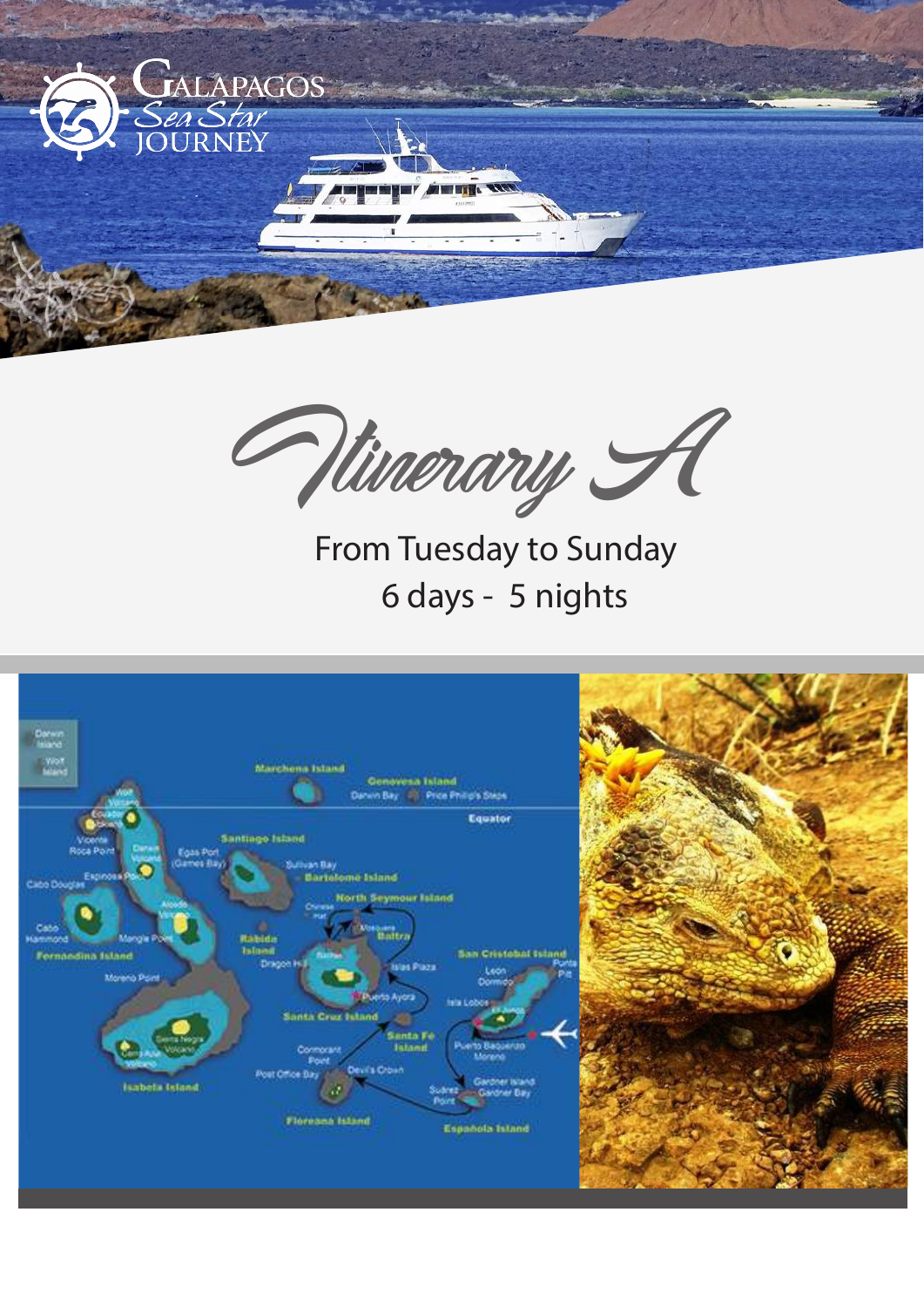

Itinerary A

6 days - 5 nights From Tuesday to Sunday

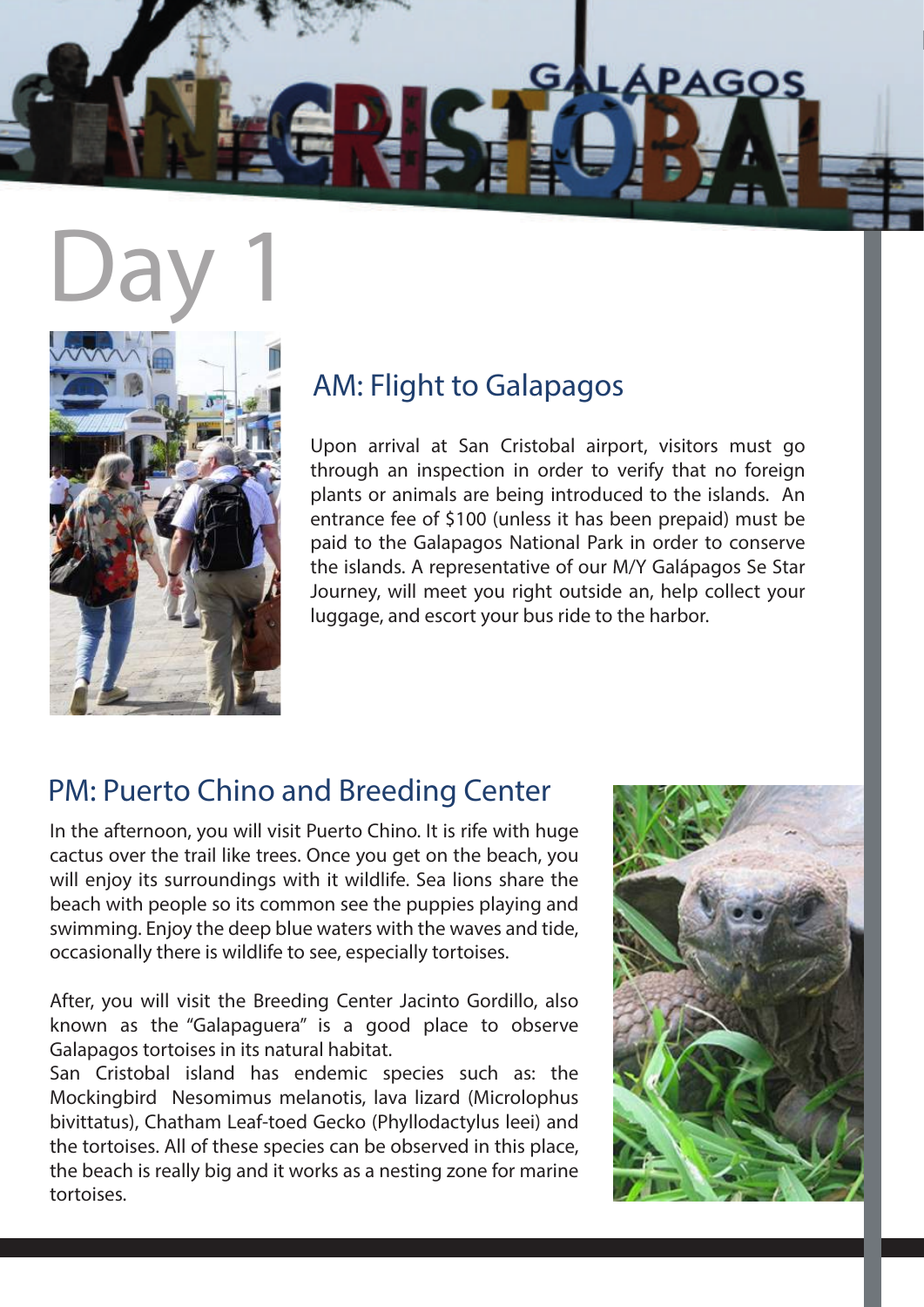

# Day 1



## AM: Flight to Galapagos

Upon arrival at San Cristobal airport, visitors must go through an inspection in order to verify that no foreign plants or animals are being introduced to the islands. An entrance fee of \$100 (unless it has been prepaid) must be paid to the Galapagos National Park in order to conserve the islands. A representative of our M/Y Galápagos Se Star Journey, will meet you right outside an, help collect your luggage, and escort your bus ride to the harbor.

## PM: Puerto Chino and Breeding Center

In the afternoon, you will visit Puerto Chino. It is rife with huge cactus over the trail like trees. Once you get on the beach, you will enjoy its surroundings with it wildlife. Sea lions share the beach with people so its common see the puppies playing and swimming. Enjoy the deep blue waters with the waves and tide, occasionally there is wildlife to see, especially tortoises.

After, you will visit the Breeding Center Jacinto Gordillo, also known as the "Galapaguera" is a good place to observe Galapagos tortoises in its natural habitat.

San Cristobal island has endemic species such as: the Mockingbird Nesomimus melanotis, lava lizard (Microlophus bivittatus), Chatham Leaf-toed Gecko (Phyllodactylus leei) and the tortoises. All of these species can be observed in this place, the beach is really big and it works as a nesting zone for marine tortoises.

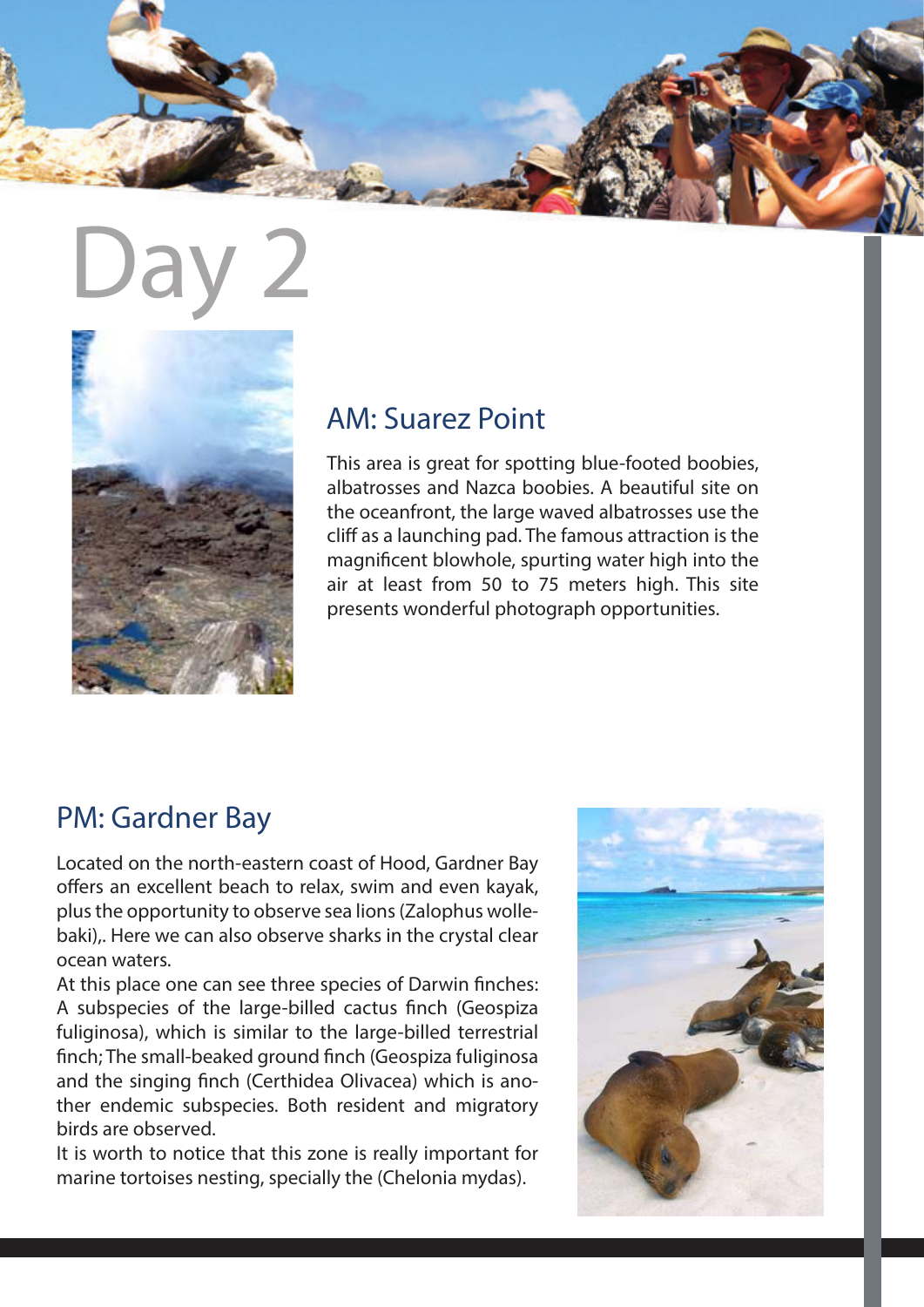



#### AM: Suarez Point

This area is great for spotting blue-footed boobies, albatrosses and Nazca boobies. A beautiful site on the oceanfront, the large waved albatrosses use the cliff as a launching pad. The famous attraction is the magnificent blowhole, spurting water high into the air at least from 50 to 75 meters high. This site presents wonderful photograph opportunities.

### PM: Gardner Bay

Located on the north-eastern coast of Hood, Gardner Bay offers an excellent beach to relax, swim and even kayak, plus the opportunity to observe sea lions (Zalophus wollebaki),. Here we can also observe sharks in the crystal clear ocean waters.

At this place one can see three species of Darwin finches: A subspecies of the large-billed cactus finch (Geospiza fuliginosa), which is similar to the large-billed terrestrial finch; The small-beaked ground finch (Geospiza fuliginosa and the singing finch (Certhidea Olivacea) which is another endemic subspecies. Both resident and migratory birds are observed.

It is worth to notice that this zone is really important for marine tortoises nesting, specially the (Chelonia mydas).

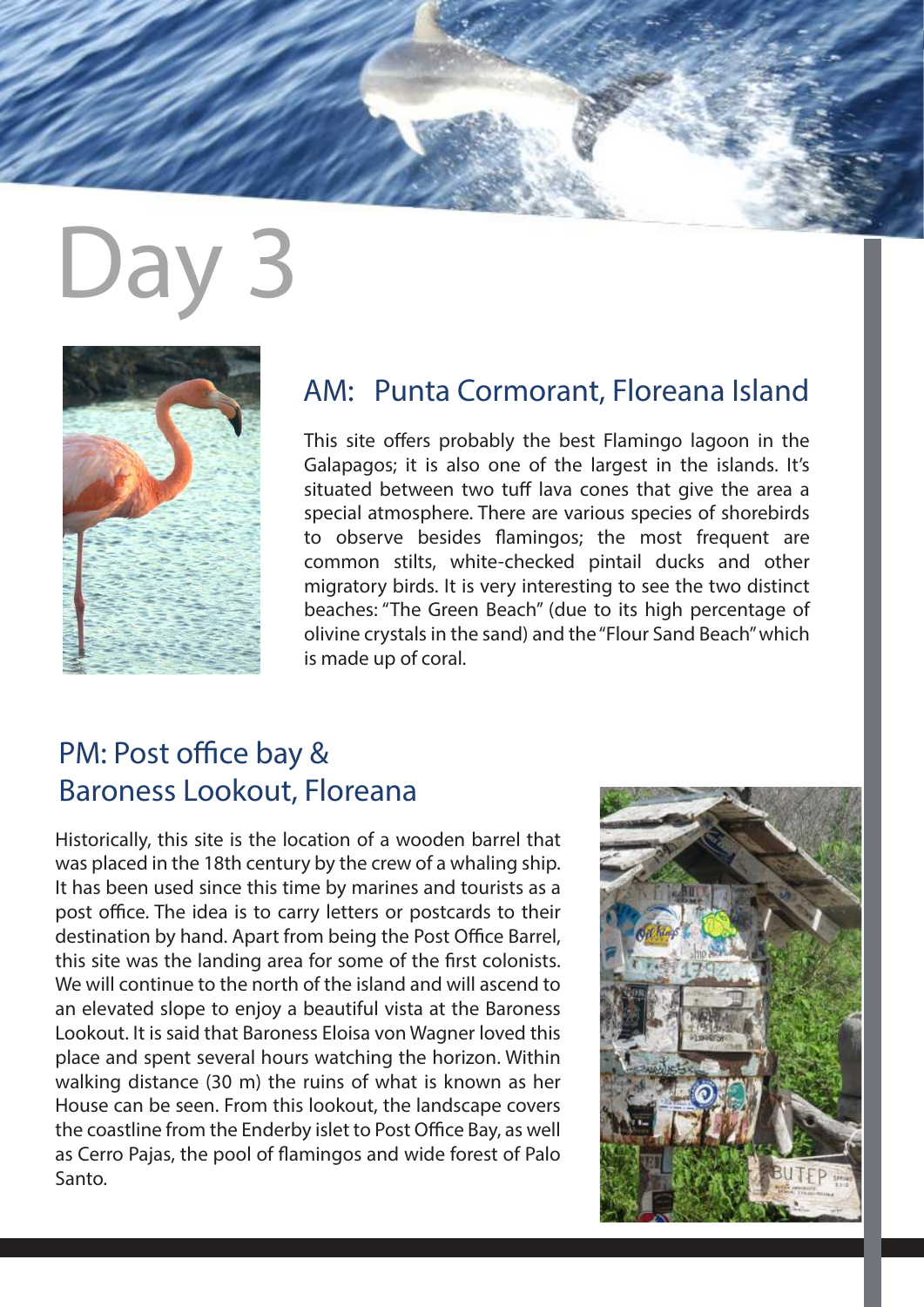# $D$



#### AM: Punta Cormorant, Floreana Island

This site offers probably the best Flamingo lagoon in the Galapagos; it is also one of the largest in the islands. It's situated between two tuff lava cones that give the area a special atmosphere. There are various species of shorebirds to observe besides flamingos; the most frequent are common stilts, white-checked pintail ducks and other migratory birds. It is very interesting to see the two distinct beaches: "The Green Beach" (due to its high percentage of olivine crystals in the sand) and the "Flour Sand Beach" which is made up of coral.

## PM: Post office bay & Baroness Lookout, Floreana

Historically, this site is the location of a wooden barrel that was placed in the 18th century by the crew of a whaling ship. It has been used since this time by marines and tourists as a post office. The idea is to carry letters or postcards to their destination by hand. Apart from being the Post Office Barrel, this site was the landing area for some of the first colonists. We will continue to the north of the island and will ascend to an elevated slope to enjoy a beautiful vista at the Baroness Lookout. It is said that Baroness Eloisa von Wagner loved this place and spent several hours watching the horizon. Within walking distance (30 m) the ruins of what is known as her House can be seen. From this lookout, the landscape covers the coastline from the Enderby islet to Post Office Bay, as well as Cerro Pajas, the pool of flamingos and wide forest of Palo Santo.

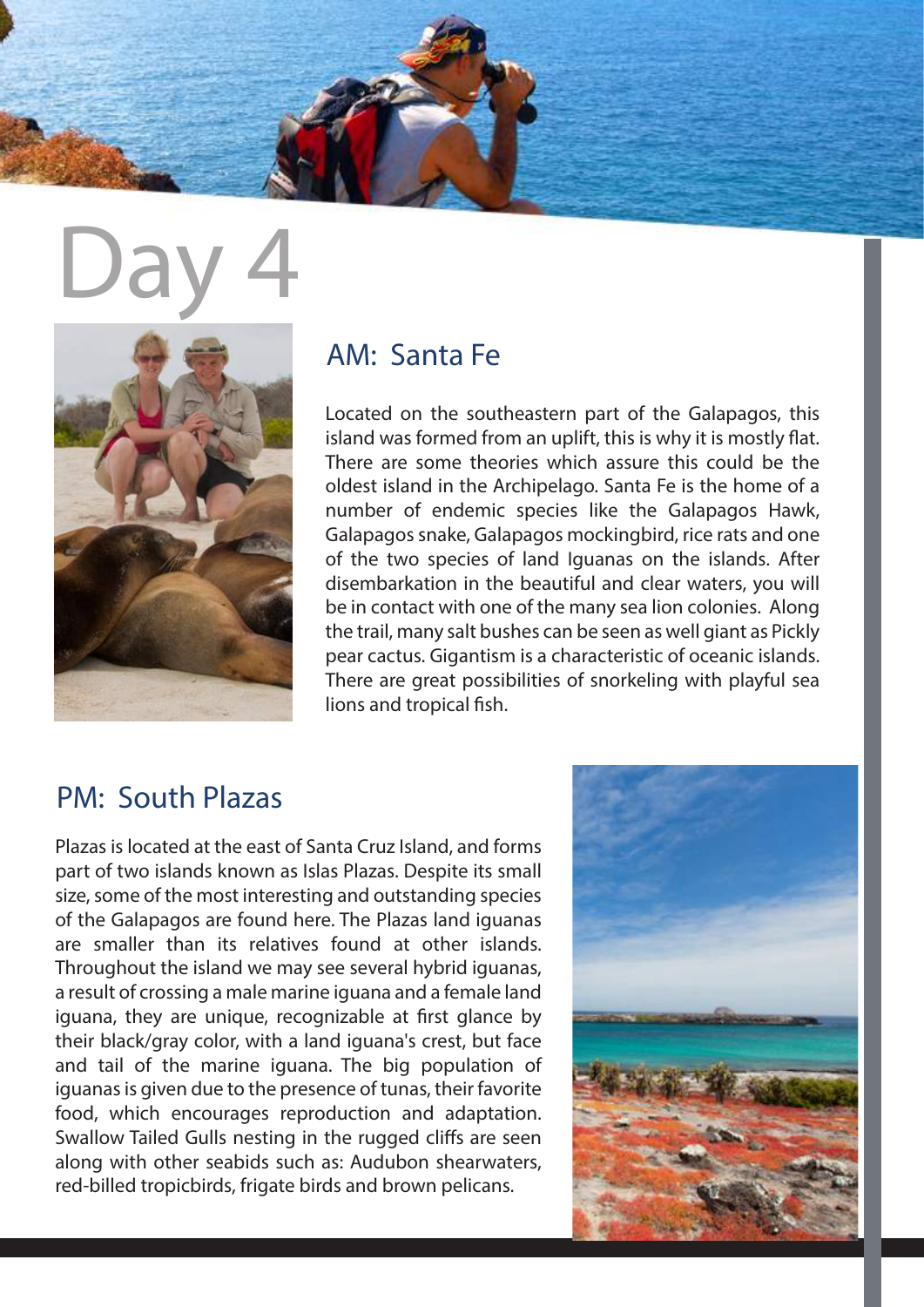



#### AM: Santa Fe

Located on the southeastern part of the Galapagos, this island was formed from an uplift, this is why it is mostly flat. There are some theories which assure this could be the oldest island in the Archipelago. Santa Fe is the home of a number of endemic species like the Galapagos Hawk, Galapagos snake, Galapagos mockingbird, rice rats and one of the two species of land Iguanas on the islands. After disembarkation in the beautiful and clear waters, you will be in contact with one of the many sea lion colonies. Along the trail, many salt bushes can be seen as well giant as Pickly pear cactus. Gigantism is a characteristic of oceanic islands. There are great possibilities of snorkeling with playful sea lions and tropical fish.

### PM: South Plazas

Plazas is located at the east of Santa Cruz Island, and forms part of two islands known as Islas Plazas. Despite its small size, some of the most interesting and outstanding species of the Galapagos are found here. The Plazas land iguanas are smaller than its relatives found at other islands. Throughout the island we may see several hybrid iguanas, a result of crossing a male marine iguana and a female land iguana, they are unique, recognizable at first glance by their black/gray color, with a land iguana's crest, but face and tail of the marine iguana. The big population of iguanas is given due to the presence of tunas, their favorite food, which encourages reproduction and adaptation. Swallow Tailed Gulls nesting in the rugged cliffs are seen along with other seabids such as: Audubon shearwaters, red-billed tropicbirds, frigate birds and brown pelicans.

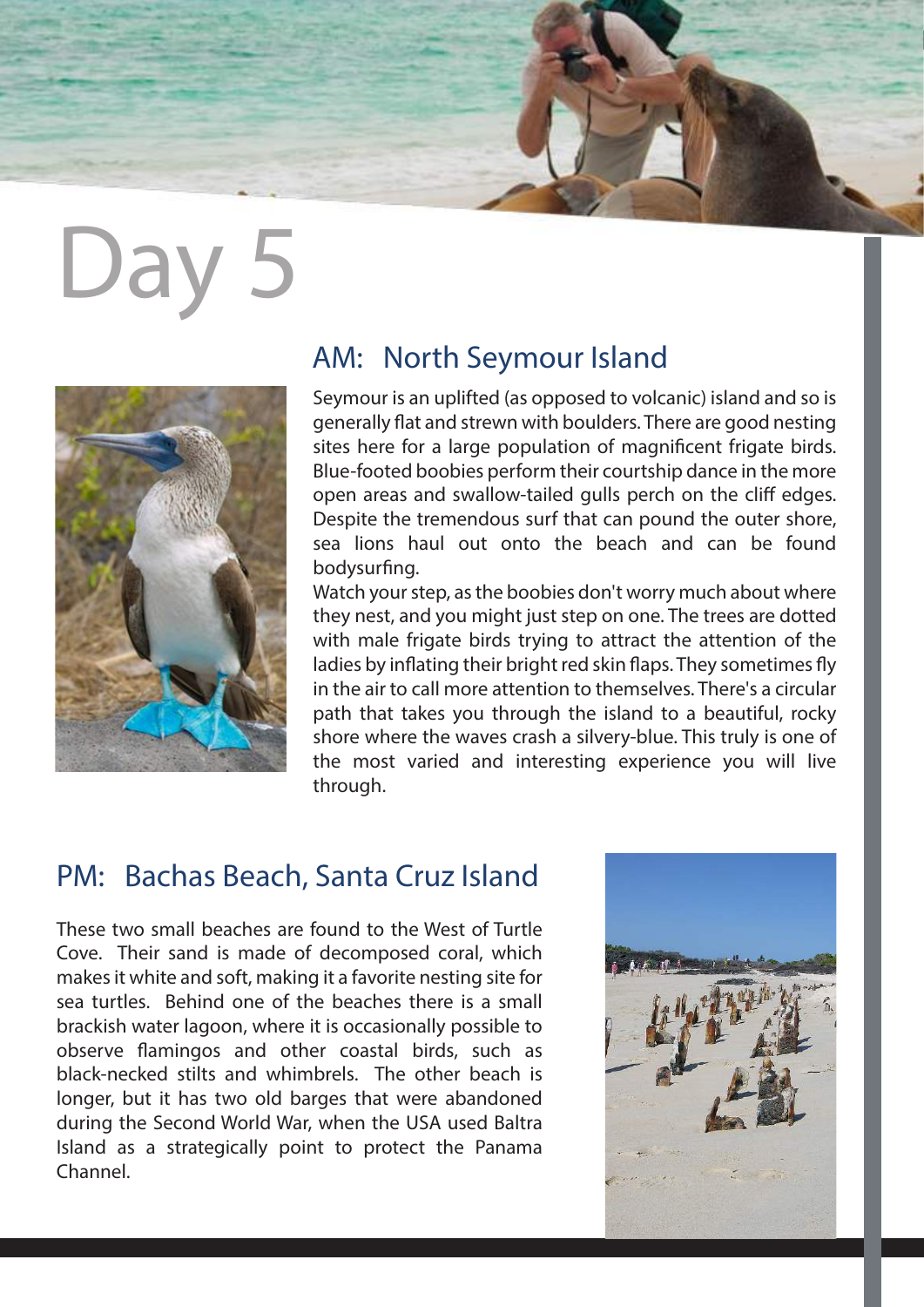# Day 5



#### AM: North Seymour Island

Seymour is an uplifted (as opposed to volcanic) island and so is generally flat and strewn with boulders. There are good nesting sites here for a large population of magnificent frigate birds. Blue-footed boobies perform their courtship dance in the more open areas and swallow-tailed gulls perch on the cliff edges. Despite the tremendous surf that can pound the outer shore, sea lions haul out onto the beach and can be found bodysurfing.

Watch your step, as the boobies don't worry much about where they nest, and you might just step on one. The trees are dotted with male frigate birds trying to attract the attention of the ladies by inflating their bright red skin flaps. They sometimes fly in the air to call more attention to themselves. There's a circular path that takes you through the island to a beautiful, rocky shore where the waves crash a silvery-blue. This truly is one of the most varied and interesting experience you will live through.

#### PM: Bachas Beach, Santa Cruz Island

These two small beaches are found to the West of Turtle Cove. Their sand is made of decomposed coral, which makes it white and soft, making it a favorite nesting site for sea turtles. Behind one of the beaches there is a small brackish water lagoon, where it is occasionally possible to observe flamingos and other coastal birds, such as black-necked stilts and whimbrels. The other beach is longer, but it has two old barges that were abandoned during the Second World War, when the USA used Baltra Island as a strategically point to protect the Panama Channel.